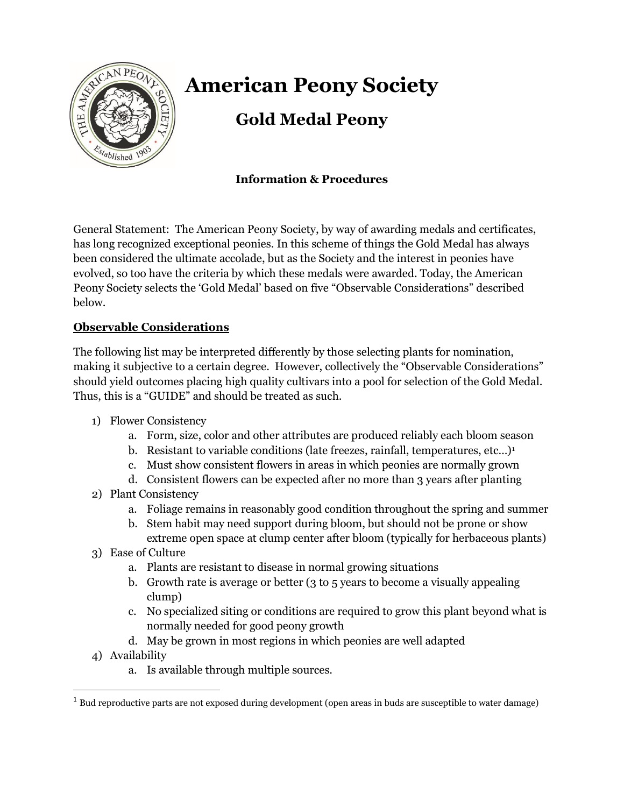

# **American Peony Society**

# **Gold Medal Peony**

## **Information & Procedures**

General Statement: The American Peony Society, by way of awarding medals and certificates, has long recognized exceptional peonies. In this scheme of things the Gold Medal has always been considered the ultimate accolade, but as the Society and the interest in peonies have evolved, so too have the criteria by which these medals were awarded. Today, the American Peony Society selects the 'Gold Medal' based on five "Observable Considerations" described below.

### **Observable Considerations**

The following list may be interpreted differently by those selecting plants for nomination, making it subjective to a certain degree. However, collectively the "Observable Considerations" should yield outcomes placing high quality cultivars into a pool for selection of the Gold Medal. Thus, this is a "GUIDE" and should be treated as such.

- 1) Flower Consistency
	- a. Form, size, color and other attributes are produced reliably each bloom season
	- b. Resistant to variable conditions (late freezes, rainfall, temperatures, etc...)<sup>1</sup>
	- c. Must show consistent flowers in areas in which peonies are normally grown
	- d. Consistent flowers can be expected after no more than 3 years after planting
- 2) Plant Consistency
	- a. Foliage remains in reasonably good condition throughout the spring and summer
	- b. Stem habit may need support during bloom, but should not be prone or show extreme open space at clump center after bloom (typically for herbaceous plants)
- 3) Ease of Culture
	- a. Plants are resistant to disease in normal growing situations
	- b. Growth rate is average or better (3 to 5 years to become a visually appealing clump)
	- c. No specialized siting or conditions are required to grow this plant beyond what is normally needed for good peony growth
	- d. May be grown in most regions in which peonies are well adapted
- 4) Availability
	- a. Is available through multiple sources.

 $1$  Bud reproductive parts are not exposed during development (open areas in buds are susceptible to water damage)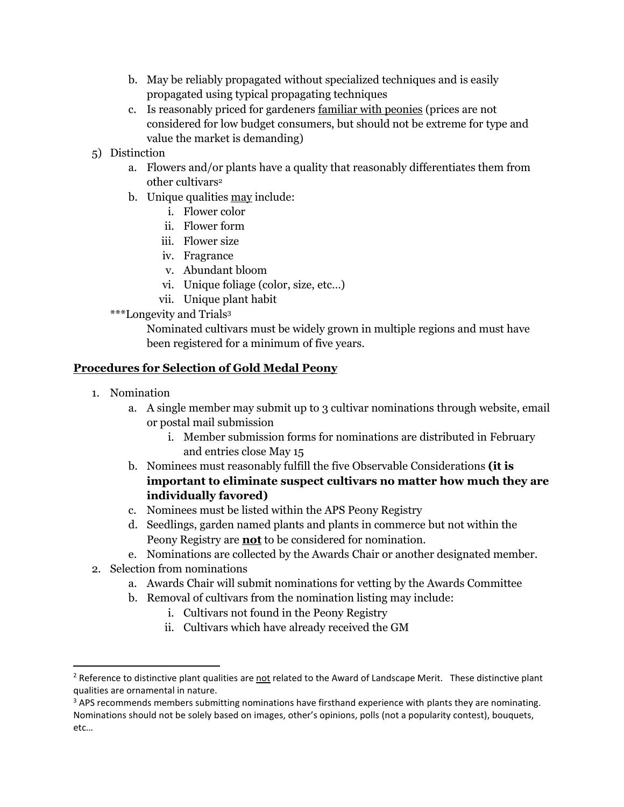- b. May be reliably propagated without specialized techniques and is easily propagated using typical propagating techniques
- c. Is reasonably priced for gardeners familiar with peonies (prices are not considered for low budget consumers, but should not be extreme for type and value the market is demanding)
- 5) Distinction
	- a. Flowers and/or plants have a quality that reasonably differentiates them from other cultivars<sup>2</sup>
	- b. Unique qualities may include:
		- i. Flower color
		- ii. Flower form
		- iii. Flower size
		- iv. Fragrance
		- v. Abundant bloom
		- vi. Unique foliage (color, size, etc…)
		- vii. Unique plant habit
	- \*\*\*Longevity and Trials<sup>3</sup>

Nominated cultivars must be widely grown in multiple regions and must have been registered for a minimum of five years.

#### **Procedures for Selection of Gold Medal Peony**

- 1. Nomination
	- a. A single member may submit up to 3 cultivar nominations through website, email or postal mail submission
		- i. Member submission forms for nominations are distributed in February and entries close May 15
	- b. Nominees must reasonably fulfill the five Observable Considerations **(it is important to eliminate suspect cultivars no matter how much they are individually favored)**
	- c. Nominees must be listed within the APS Peony Registry
	- d. Seedlings, garden named plants and plants in commerce but not within the Peony Registry are **not** to be considered for nomination.
	- e. Nominations are collected by the Awards Chair or another designated member.
- 2. Selection from nominations
	- a. Awards Chair will submit nominations for vetting by the Awards Committee
	- b. Removal of cultivars from the nomination listing may include:
		- i. Cultivars not found in the Peony Registry
		- ii. Cultivars which have already received the GM

<sup>&</sup>lt;sup>2</sup> Reference to distinctive plant qualities are not related to the Award of Landscape Merit. These distinctive plant qualities are ornamental in nature.

<sup>&</sup>lt;sup>3</sup> APS recommends members submitting nominations have firsthand experience with plants they are nominating. Nominations should not be solely based on images, other's opinions, polls (not a popularity contest), bouquets, etc…